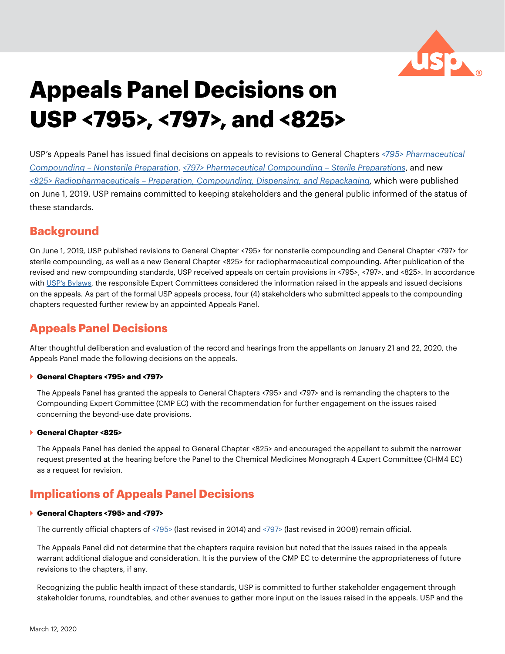

# **Appeals Panel Decisions on USP <795>, <797>, and <825>**

USP's Appeals Panel has issued final decisions on appeals to revisions to General Chapters *[<795> Pharmaceutical](https://www.usp.org/compounding/general-chapter-795)  [Compounding – Nonsterile Preparation](https://www.usp.org/compounding/general-chapter-795)*, *[<797> Pharmaceutical Compounding – Sterile Preparations](http://usp.org/compounding/general-chapter-797)*, and new *[<825> Radiopharmaceuticals – Preparation, Compounding, Dispensing, and Repackaging](https://www.usp.org/chemical-medicines/general-chapter-825)*, which were published on June 1, 2019. USP remains committed to keeping stakeholders and the general public informed of the status of these standards.

# **Background**

On June 1, 2019, USP published revisions to General Chapter <795> for nonsterile compounding and General Chapter <797> for sterile compounding, as well as a new General Chapter <825> for radiopharmaceutical compounding. After publication of the revised and new compounding standards, USP received appeals on certain provisions in <795>, <797>, and <825>. In accordance with [USP's Bylaws,](https://www.usp.org/sites/default/files/usp/document/about/convention-membership/article7.pdf) the responsible Expert Committees considered the information raised in the appeals and issued decisions on the appeals. As part of the formal USP appeals process, four (4) stakeholders who submitted appeals to the compounding chapters requested further review by an appointed Appeals Panel.

# **Appeals Panel Decisions**

After thoughtful deliberation and evaluation of the record and hearings from the appellants on January 21 and 22, 2020, the Appeals Panel made the following decisions on the appeals.

### ` **General Chapters <795> and <797>**

The Appeals Panel has granted the appeals to General Chapters <795> and <797> and is remanding the chapters to the Compounding Expert Committee (CMP EC) with the recommendation for further engagement on the issues raised concerning the beyond-use date provisions.

#### ` **General Chapter <825>**

The Appeals Panel has denied the appeal to General Chapter <825> and encouraged the appellant to submit the narrower request presented at the hearing before the Panel to the Chemical Medicines Monograph 4 Expert Committee (CHM4 EC) as a request for revision.

# **Implications of Appeals Panel Decisions**

#### ` **General Chapters <795> and <797>**

The currently official chapters of [<795>](https://go.usp.org/l/323321/2020-03-09/3125jw) (last revised in 2014) and [<797>](https://go.usp.org/l/323321/2020-03-09/3125jw) (last revised in 2008) remain official.

The Appeals Panel did not determine that the chapters require revision but noted that the issues raised in the appeals warrant additional dialogue and consideration. It is the purview of the CMP EC to determine the appropriateness of future revisions to the chapters, if any.

Recognizing the public health impact of these standards, USP is committed to further stakeholder engagement through stakeholder forums, roundtables, and other avenues to gather more input on the issues raised in the appeals. USP and the